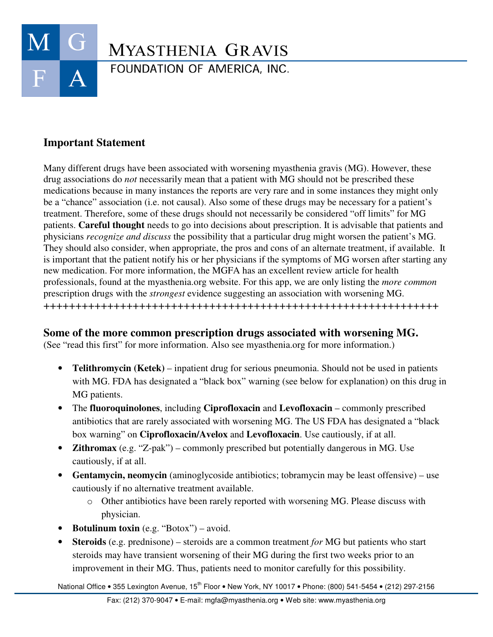

## **Important Statement**

Many different drugs have been associated with worsening myasthenia gravis (MG). However, these drug associations do *not* necessarily mean that a patient with MG should not be prescribed these medications because in many instances the reports are very rare and in some instances they might only be a "chance" association (i.e. not causal). Also some of these drugs may be necessary for a patient's treatment. Therefore, some of these drugs should not necessarily be considered "off limits" for MG patients. **Careful thought** needs to go into decisions about prescription. It is advisable that patients and physicians *recognize and discuss* the possibility that a particular drug might worsen the patient's MG. They should also consider, when appropriate, the pros and cons of an alternate treatment, if available. It is important that the patient notify his or her physicians if the symptoms of MG worsen after starting any new medication. For more information, the MGFA has an excellent review article for health professionals, found at the myasthenia.org website. For this app, we are only listing the *more common* prescription drugs with the *strongest* evidence suggesting an association with worsening MG. ++++++++++++++++++++++++++++++++++++++++++++++++++++++++++++++

## **Some of the more common prescription drugs associated with worsening MG.**

(See "read this first" for more information. Also see myasthenia.org for more information.)

- **Telithromycin (Ketek)** inpatient drug for serious pneumonia. Should not be used in patients with MG. FDA has designated a "black box" warning (see below for explanation) on this drug in MG patients.
- The **fluoroquinolones**, including **Ciprofloxacin** and **Levofloxacin** commonly prescribed antibiotics that are rarely associated with worsening MG. The US FDA has designated a "black box warning" on **Ciprofloxacin/Avelox** and **Levofloxacin**. Use cautiously, if at all.
- **Zithromax** (e.g. "Z-pak") commonly prescribed but potentially dangerous in MG. Use cautiously, if at all.
- **Gentamycin, neomycin** (aminoglycoside antibiotics; tobramycin may be least offensive) use cautiously if no alternative treatment available.
	- o Other antibiotics have been rarely reported with worsening MG. Please discuss with physician.
- **Botulinum toxin** (e.g. "Botox") avoid.
- **Steroids** (e.g. prednisone) steroids are a common treatment *for* MG but patients who start steroids may have transient worsening of their MG during the first two weeks prior to an improvement in their MG. Thus, patients need to monitor carefully for this possibility.

National Office • 355 Lexington Avenue, 15<sup>th</sup> Floor • New York, NY 10017 • Phone: (800) 541-5454 • (212) 297-2156